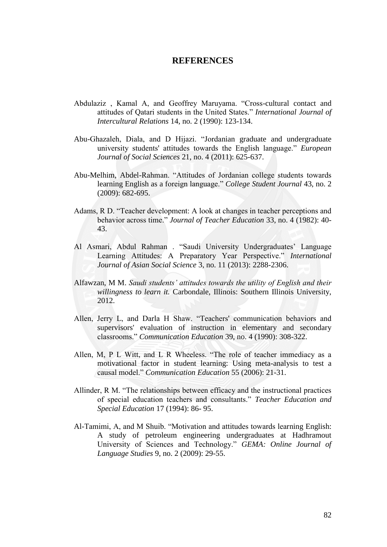## **REFERENCES**

- Abdulaziz, Kamal A, and Geoffrey Maruyama. "Cross-cultural contact and attitudes of Qatari students in the United States.‖ *International Journal of Intercultural Relations* 14, no. 2 (1990): 123-134.
- Abu-Ghazaleh, Diala, and D Hijazi. "Jordanian graduate and undergraduate university students' attitudes towards the English language." *European Journal of Social Sciences* 21, no. 4 (2011): 625-637.
- Abu-Melhim, Abdel-Rahman. "Attitudes of Jordanian college students towards learning English as a foreign language." *College Student Journal* 43, no. 2 (2009): 682-695.
- Adams, R D. "Teacher development: A look at changes in teacher perceptions and behavior across time." *Journal of Teacher Education* 33, no. 4 (1982): 40-43.
- Al Asmari, Abdul Rahman . "Saudi University Undergraduates' Language Learning Attitudes: A Preparatory Year Perspective." *International Journal of Asian Social Science* 3, no. 11 (2013): 2288-2306.
- Alfawzan, M M. *Saudi students' attitudes towards the utility of English and their willingness to learn it.* Carbondale, Illinois: Southern Illinois University, 2012.
- Allen, Jerry L, and Darla H Shaw. "Teachers' communication behaviors and supervisors' evaluation of instruction in elementary and secondary classrooms.‖ *Communication Education* 39, no. 4 (1990): 308-322.
- Allen, M, P L Witt, and L R Wheeless. "The role of teacher immediacy as a motivational factor in student learning: Using meta-analysis to test a causal model.‖ *Communication Education* 55 (2006): 21-31.
- Allinder, R M. "The relationships between efficacy and the instructional practices of special education teachers and consultants.‖ *Teacher Education and Special Education* 17 (1994): 86- 95.
- Al-Tamimi, A, and M Shuib. "Motivation and attitudes towards learning English: A study of petroleum engineering undergraduates at Hadhramout University of Sciences and Technology.‖ *GEMA: Online Journal of Language Studies* 9, no. 2 (2009): 29-55.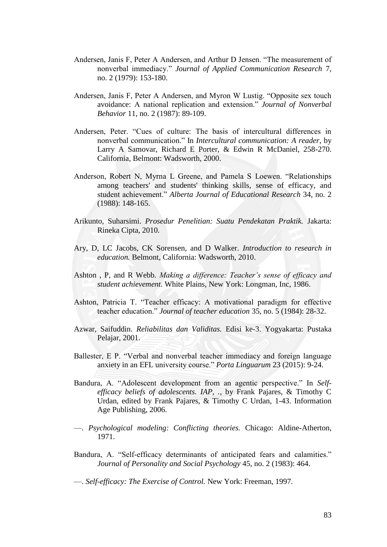- Andersen, Janis F, Peter A Andersen, and Arthur D Jensen. "The measurement of nonverbal immediacy.‖ *Journal of Applied Communication Research* 7, no. 2 (1979): 153-180.
- Andersen, Janis F, Peter A Andersen, and Myron W Lustig. "Opposite sex touch avoidance: A national replication and extension.‖ *Journal of Nonverbal Behavior* 11, no. 2 (1987): 89-109.
- Andersen, Peter. "Cues of culture: The basis of intercultural differences in nonverbal communication.‖ In *Intercultural communication: A reader*, by Larry A Samovar, Richard E Porter, & Edwin R McDaniel, 258-270. California, Belmont: Wadsworth, 2000.
- Anderson, Robert N, Myrna L Greene, and Pamela S Loewen. "Relationships among teachers' and students' thinking skills, sense of efficacy, and student achievement.‖ *Alberta Journal of Educational Research* 34, no. 2 (1988): 148-165.
- Arikunto, Suharsimi. *Prosedur Penelitian: Suatu Pendekatan Praktik.* Jakarta: Rineka Cipta, 2010.
- Ary, D, LC Jacobs, CK Sorensen, and D Walker. *Introduction to research in education.* Belmont, California: Wadsworth, 2010.
- Ashton , P, and R Webb. *Making a difference: Teacher's sense of efficacy and student achievement.* White Plains, New York: Longman, Inc, 1986.
- Ashton, Patricia T. "Teacher efficacy: A motivational paradigm for effective teacher education." *Journal of teacher education* 35, no. 5 (1984): 28-32.
- Azwar, Saifuddin. *Reliabilitas dan Validitas.* Edisi ke-3. Yogyakarta: Pustaka Pelajar, 2001.
- Ballester, E P. "Verbal and nonverbal teacher immediacy and foreign language anxiety in an EFL university course.‖ *Porta Linguarum* 23 (2015): 9-24.
- Bandura, A. "Adolescent development from an agentic perspective." In *Selfefficacy beliefs of adolescents. IAP, .*, by Frank Pajares, & Timothy C Urdan, edited by Frank Pajares, & Timothy C Urdan, 1-43. Information Age Publishing, 2006.
- —. *Psychological modeling: Conflicting theories.* Chicago: Aldine-Atherton, 1971.
- Bandura, A. "Self-efficacy determinants of anticipated fears and calamities." *Journal of Personality and Social Psychology* 45, no. 2 (1983): 464.

—. *Self-efficacy: The Exercise of Control.* New York: Freeman, 1997.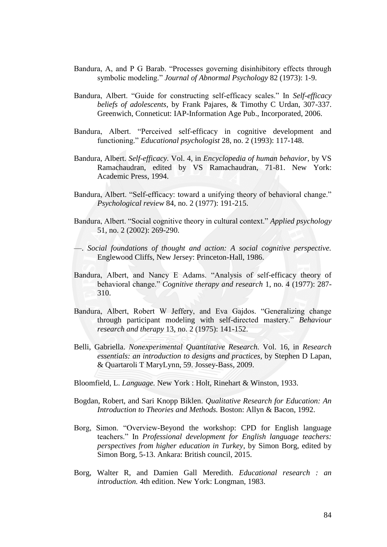- Bandura, A, and P G Barab. "Processes governing disinhibitory effects through symbolic modeling." *Journal of Abnormal Psychology* 82 (1973): 1-9.
- Bandura, Albert. "Guide for constructing self-efficacy scales." In *Self-efficacy beliefs of adolescents*, by Frank Pajares, & Timothy C Urdan, 307-337. Greenwich, Conneticut: IAP-Information Age Pub., Incorporated, 2006.
- Bandura, Albert. "Perceived self-efficacy in cognitive development and functioning.‖ *Educational psychologist* 28, no. 2 (1993): 117-148.
- Bandura, Albert. *Self-efficacy.* Vol. 4, in *Encyclopedia of human behavior*, by VS Ramachaudran, edited by VS Ramachaudran, 71-81. New York: Academic Press, 1994.
- Bandura, Albert. "Self-efficacy: toward a unifying theory of behavioral change." *Psychological review* 84, no. 2 (1977): 191-215.
- Bandura, Albert. "Social cognitive theory in cultural context." *Applied psychology* 51, no. 2 (2002): 269-290.
- —. *Social foundations of thought and action: A social cognitive perspective.* Englewood Cliffs, New Jersey: Princeton-Hall, 1986.
- Bandura, Albert, and Nancy E Adams. "Analysis of self-efficacy theory of behavioral change." *Cognitive therapy and research* 1, no. 4 (1977): 287-310.
- Bandura, Albert, Robert W Jeffery, and Eva Gajdos. "Generalizing change through participant modeling with self-directed mastery.‖ *Behaviour research and therapy* 13, no. 2 (1975): 141-152.
- Belli, Gabriella. *Nonexperimental Quantitative Research.* Vol. 16, in *Research essentials: an introduction to designs and practices*, by Stephen D Lapan, & Quartaroli T MaryLynn, 59. Jossey-Bass, 2009.
- Bloomfield, L. *Language.* New York : Holt, Rinehart & Winston, 1933.
- Bogdan, Robert, and Sari Knopp Biklen. *Qualitative Research for Education: An Introduction to Theories and Methods.* Boston: Allyn & Bacon, 1992.
- Borg, Simon. "Overview-Beyond the workshop: CPD for English language teachers.‖ In *Professional development for English language teachers: perspectives from higher education in Turkey*, by Simon Borg, edited by Simon Borg, 5-13. Ankara: British council, 2015.
- Borg, Walter R, and Damien Gall Meredith. *Educational research : an introduction.* 4th edition. New York: Longman, 1983.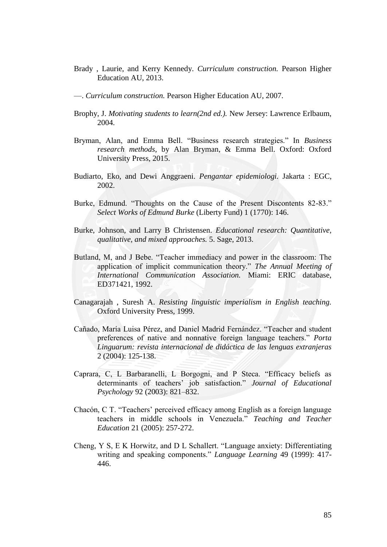- Brady , Laurie, and Kerry Kennedy. *Curriculum construction.* Pearson Higher Education AU, 2013.
- —. *Curriculum construction.* Pearson Higher Education AU, 2007.
- Brophy, J. *Motivating students to learn(2nd ed.).* New Jersey: Lawrence Erlbaum, 2004.
- Bryman, Alan, and Emma Bell. "Business research strategies." In *Business research methods*, by Alan Bryman, & Emma Bell. Oxford: Oxford University Press, 2015.
- Budiarto, Eko, and Dewi Anggraeni. *Pengantar epidemiologi.* Jakarta : EGC, 2002.
- Burke, Edmund. "Thoughts on the Cause of the Present Discontents 82-83." *Select Works of Edmund Burke* (Liberty Fund) 1 (1770): 146.
- Burke, Johnson, and Larry B Christensen. *Educational research: Quantitative, qualitative, and mixed approaches.* 5. Sage, 2013.
- Butland, M, and J Bebe. "Teacher immediacy and power in the classroom: The application of implicit communication theory." The Annual Meeting of *International Communication Association.* Miami: ERIC database, ED371421, 1992.
- Canagarajah , Suresh A. *Resisting linguistic imperialism in English teaching.* Oxford University Press, 1999.
- Cañado, María Luisa Pérez, and Daniel Madrid Fernández. "Teacher and student preferences of native and nonnative foreign language teachers.‖ *Porta Linguarum: revista internacional de didáctica de las lenguas extranjeras* 2 (2004): 125-138.
- Caprara, C, L Barbaranelli, L Borgogni, and P Steca. "Efficacy beliefs as determinants of teachers' job satisfaction." Journal of Educational *Psychology* 92 (2003): 821–832.
- Chacón, C T. "Teachers' perceived efficacy among English as a foreign language teachers in middle schools in Venezuela." *Teaching and Teacher Education* 21 (2005): 257-272.
- Cheng, Y S, E K Horwitz, and D L Schallert. "Language anxiety: Differentiating writing and speaking components." *Language Learning* 49 (1999): 417-446.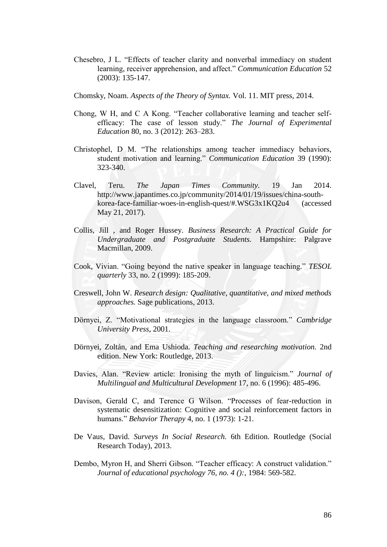- Chesebro, J L. "Effects of teacher clarity and nonverbal immediacy on student learning, receiver apprehension, and affect." *Communication Education* 52 (2003): 135-147.
- Chomsky, Noam. *Aspects of the Theory of Syntax.* Vol. 11. MIT press, 2014.
- Chong, W H, and C A Kong. "Teacher collaborative learning and teacher selfefficacy: The case of lesson study." The Journal of Experimental *Education* 80, no. 3 (2012): 263–283.
- Christophel, D M. "The relationships among teacher immediacy behaviors, student motivation and learning." *Communication Education* 39 (1990): 323-340.
- Clavel, Teru. *The Japan Times Community.* 19 Jan 2014. http://www.japantimes.co.jp/community/2014/01/19/issues/china-southkorea-face-familiar-woes-in-english-quest/#.WSG3x1KQ2u4 (accessed May 21, 2017).
- Collis, Jill , and Roger Hussey. *Business Research: A Practical Guide for Undergraduate and Postgraduate Students.* Hampshire: Palgrave Macmillan, 2009.
- Cook, Vivian. "Going beyond the native speaker in language teaching." *TESOL quarterly* 33, no. 2 (1999): 185-209.
- Creswell, John W. *Research design: Qualitative, quantitative, and mixed methods approaches.* Sage publications, 2013.
- Dörnyei, Z. "Motivational strategies in the language classroom." *Cambridge University Press*, 2001.
- Dörnyei, Zoltán, and Ema Ushioda. *Teaching and researching motivation.* 2nd edition. New York: Routledge, 2013.
- Davies, Alan. "Review article: Ironising the myth of linguicism." *Journal of Multilingual and Multicultural Development* 17, no. 6 (1996): 485-496.
- Davison, Gerald C, and Terence G Wilson. "Processes of fear-reduction in systematic desensitization: Cognitive and social reinforcement factors in humans.‖ *Behavior Therapy* 4, no. 1 (1973): 1-21.
- De Vaus, David. *Surveys In Social Research.* 6th Edition. Routledge (Social Research Today), 2013.
- Dembo, Myron H, and Sherri Gibson. "Teacher efficacy: A construct validation." *Journal of educational psychology 76, no. 4 ():*, 1984: 569-582.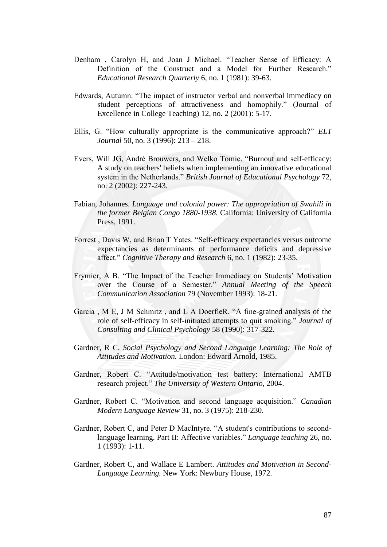- Denham, Carolyn H, and Joan J Michael. "Teacher Sense of Efficacy: A Definition of the Construct and a Model for Further Research." *Educational Research Quarterly* 6, no. 1 (1981): 39-63.
- Edwards, Autumn. "The impact of instructor verbal and nonverbal immediacy on student perceptions of attractiveness and homophily." (Journal of Excellence in College Teaching) 12, no. 2 (2001): 5-17.
- Ellis, G. "How culturally appropriate is the communicative approach?" *ELT Journal* 50, no. 3 (1996): 213 – 218.
- Evers, Will JG, André Brouwers, and Welko Tomic. "Burnout and self-efficacy: A study on teachers' beliefs when implementing an innovative educational system in the Netherlands." *British Journal of Educational Psychology* 72, no. 2 (2002): 227-243.
- Fabian, Johannes. *Language and colonial power: The appropriation of Swahili in the former Belgian Congo 1880-1938.* California: University of California Press, 1991.
- Forrest, Davis W, and Brian T Yates. "Self-efficacy expectancies versus outcome expectancies as determinants of performance deficits and depressive affect.‖ *Cognitive Therapy and Research* 6, no. 1 (1982): 23-35.
- Frymier, A B. "The Impact of the Teacher Immediacy on Students' Motivation over the Course of a Semester." Annual Meeting of the Speech *Communication Association* 79 (November 1993): 18-21.
- Garcia, M E, J M Schmitz, and L A DoerfleR. "A fine-grained analysis of the role of self-efficacy in self-initiated attempts to quit smoking." *Journal of Consulting and Clinical Psychology* 58 (1990): 317-322.
- Gardner, R C. *Social Psychology and Second Language Learning: The Role of Attitudes and Motivation.* London: Edward Arnold, 1985.
- Gardner, Robert C. "Attitude/motivation test battery: International AMTB research project.‖ *The University of Western Ontario*, 2004.
- Gardner, Robert C. "Motivation and second language acquisition." *Canadian Modern Language Review* 31, no. 3 (1975): 218-230.
- Gardner, Robert C, and Peter D MacIntyre. "A student's contributions to secondlanguage learning. Part II: Affective variables." *Language teaching* 26, no. 1 (1993): 1-11.
- Gardner, Robert C, and Wallace E Lambert. *Attitudes and Motivation in Second-Language Learning.* New York: Newbury House, 1972.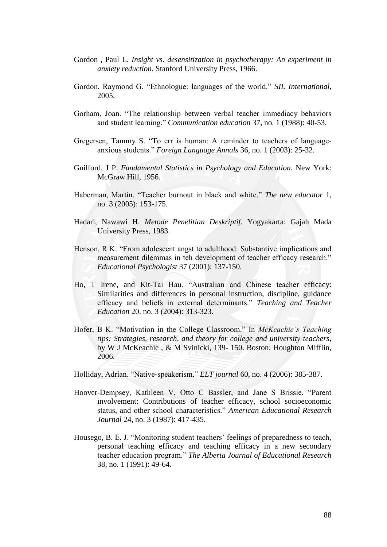- Gordon , Paul L. *Insight vs. desensitization in psychotherapy: An experiment in anxiety reduction.* Stanford University Press, 1966.
- Gordon, Raymond G. "Ethnologue: languages of the world." *SIL International*, 2005.
- Gorham, Joan. "The relationship between verbal teacher immediacy behaviors and student learning." *Communication education* 37, no. 1 (1988): 40-53.
- Gregersen, Tammy S. "To err is human: A reminder to teachers of languageanxious students.‖ *Foreign Language Annals* 36, no. 1 (2003): 25-32.
- Guilford, J P. *Fundamental Statistics in Psychology and Education.* New York: McGraw Hill, 1956.
- Haberman, Martin. "Teacher burnout in black and white." The new educator 1, no. 3 (2005): 153-175.
- Hadari, Nawawi H. *Metode Penelitian Deskriptif.* Yogyakarta: Gajah Mada University Press, 1983.
- Henson, R K. "From adolescent angst to adulthood: Substantive implications and measurement dilemmas in teh development of teacher efficacy research." *Educational Psychologist* 37 (2001): 137-150.
- Ho, T Irene, and Kit-Tai Hau. "Australian and Chinese teacher efficacy: Similarities and differences in personal instruction, discipline, guidance efficacy and beliefs in external determinants.‖ *Teaching and Teacher Education* 20, no. 3 (2004): 313-323.
- Hofer, B K. "Motivation in the College Classroom." In *McKeachie's Teaching tips: Strategies, research, and theory for college and university teachers*, by W J McKeachie , & M Svinicki, 139- 150. Boston: Houghton Mifflin, 2006.

Holliday, Adrian. "Native-speakerism." *ELT journal* 60, no. 4 (2006): 385-387.

- Hoover-Dempsey, Kathleen V, Otto C Bassler, and Jane S Brissie. "Parent involvement: Contributions of teacher efficacy, school socioeconomic status, and other school characteristics.‖ *American Educational Research Journal* 24, no. 3 (1987): 417-435.
- Housego, B. E. J. "Monitoring student teachers' feelings of preparedness to teach, personal teaching efficacy and teaching efficacy in a new secondary teacher education program." The Alberta Journal of Educational Research 38, no. 1 (1991): 49-64.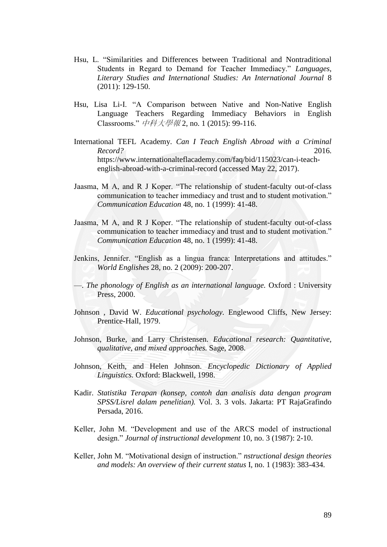- Hsu, L. "Similarities and Differences between Traditional and Nontraditional Students in Regard to Demand for Teacher Immediacy." *Languages, Literary Studies and International Studies: An International Journal* 8 (2011): 129-150.
- Hsu, Lisa Li-I. "A Comparison between Native and Non-Native English Language Teachers Regarding Immediacy Behaviors in English Classrooms.‖ 中科大學報 2, no. 1 (2015): 99-116.
- International TEFL Academy. *Can I Teach English Abroad with a Criminal Record?* 2016. https://www.internationalteflacademy.com/faq/bid/115023/can-i-teachenglish-abroad-with-a-criminal-record (accessed May 22, 2017).
- Jaasma, M A, and R J Koper. "The relationship of student-faculty out-of-class communication to teacher immediacy and trust and to student motivation." *Communication Education* 48, no. 1 (1999): 41-48.
- Jaasma, M A, and R J Koper. "The relationship of student-faculty out-of-class communication to teacher immediacy and trust and to student motivation." *Communication Education* 48, no. 1 (1999): 41-48.
- Jenkins, Jennifer. "English as a lingua franca: Interpretations and attitudes." *World Englishes* 28, no. 2 (2009): 200-207.
- —. *The phonology of English as an international language.* Oxford : University Press, 2000.
- Johnson , David W. *Educational psychology.* Englewood Cliffs, New Jersey: Prentice-Hall, 1979.
- Johnson, Burke, and Larry Christensen. *Educational research: Quantitative, qualitative, and mixed approaches.* Sage, 2008.
- Johnson, Keith, and Helen Johnson. *Encyclopedic Dictionary of Applied Linguistics.* Oxford: Blackwell, 1998.
- Kadir. *Statistika Terapan (konsep, contoh dan analisis data dengan program SPSS/Lisrel dalam penelitian).* Vol. 3. 3 vols. Jakarta: PT RajaGrafindo Persada, 2016.
- Keller, John M. "Development and use of the ARCS model of instructional design.‖ *Journal of instructional development* 10, no. 3 (1987): 2-10.
- Keller, John M. "Motivational design of instruction." *nstructional design theories and models: An overview of their current status* I, no. 1 (1983): 383-434.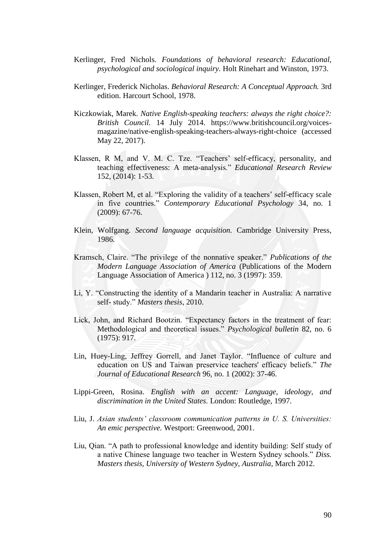- Kerlinger, Fred Nichols. *Foundations of behavioral research: Educational, psychological and sociological inquiry.* Holt Rinehart and Winston, 1973.
- Kerlinger, Frederick Nicholas. *Behavioral Research: A Conceptual Approach.* 3rd edition. Harcourt School, 1978.
- Kiczkowiak, Marek. *Native English-speaking teachers: always the right choice?: British Council.* 14 July 2014. https://www.britishcouncil.org/voicesmagazine/native-english-speaking-teachers-always-right-choice (accessed May 22, 2017).
- Klassen, R M, and V. M. C. Tze. "Teachers' self-efficacy, personality, and teaching effectiveness: A meta-analysis." *Educational Research Review* 152, (2014): 1-53.
- Klassen, Robert M, et al. "Exploring the validity of a teachers' self-efficacy scale in five countries.‖ *Contemporary Educational Psychology* 34, no. 1 (2009): 67-76.
- Klein, Wolfgang. *Second language acquisition.* Cambridge University Press, 1986.
- Kramsch, Claire. "The privilege of the nonnative speaker." *Publications of the Modern Language Association of America* (Publications of the Modern Language Association of America ) 112, no. 3 (1997): 359.
- Li, Y. "Constructing the identity of a Mandarin teacher in Australia: A narrative self- study." Masters thesis, 2010.
- Lick, John, and Richard Bootzin. "Expectancy factors in the treatment of fear: Methodological and theoretical issues." *Psychological bulletin* 82, no. 6 (1975): 917.
- Lin, Huey-Ling, Jeffrey Gorrell, and Janet Taylor. "Influence of culture and education on US and Taiwan preservice teachers' efficacy beliefs." The *Journal of Educational Research* 96, no. 1 (2002): 37-46.
- Lippi-Green, Rosina. *English with an accent: Language, ideology, and discrimination in the United States.* London: Routledge, 1997.
- Liu, J. *Asian students' classroom communication patterns in U. S. Universities: An emic perspective.* Westport: Greenwood, 2001.
- Liu, Qian. "A path to professional knowledge and identity building: Self study of a native Chinese language two teacher in Western Sydney schools." *Diss. Masters thesis, University of Western Sydney, Australia*, March 2012.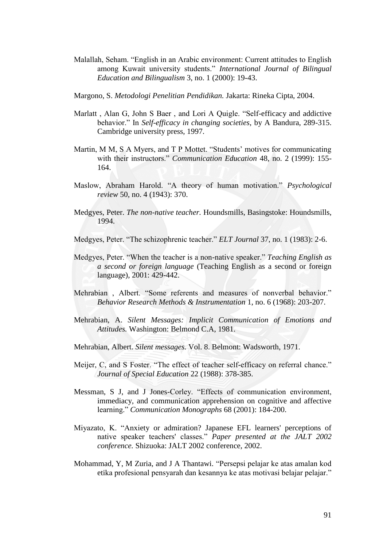- Malallah, Seham. "English in an Arabic environment: Current attitudes to English among Kuwait university students." *International Journal of Bilingual Education and Bilingualism* 3, no. 1 (2000): 19-43.
- Margono, S. *Metodologi Penelitian Pendidikan.* Jakarta: Rineka Cipta, 2004.
- Marlatt, Alan G, John S Baer, and Lori A Quigle. "Self-efficacy and addictive behavior.‖ In *Self-efficacy in changing societies*, by A Bandura, 289-315. Cambridge university press, 1997.
- Martin, M M, S A Myers, and T P Mottet. "Students' motives for communicating with their instructors." *Communication Education* 48, no. 2 (1999): 155-164.
- Maslow, Abraham Harold. "A theory of human motivation." *Psychological review* 50, no. 4 (1943): 370.
- Medgyes, Peter. *The non-native teacher.* Houndsmills, Basingstoke: Houndsmills, 1994.
- Medgyes, Peter. "The schizophrenic teacher." *ELT Journal* 37, no. 1 (1983): 2-6.
- Medgyes, Peter. ―When the teacher is a non-native speaker.‖ *Teaching English as a second or foreign language* (Teaching English as a second or foreign language), 2001: 429-442.
- Mehrabian, Albert. "Some referents and measures of nonverbal behavior." *Behavior Research Methods & Instrumentation* 1, no. 6 (1968): 203-207.
- Mehrabian, A. *Silent Messages: Implicit Communication of Emotions and Attitudes.* Washington: Belmond C.A, 1981.
- Mehrabian, Albert. *Silent messages.* Vol. 8. Belmont: Wadsworth, 1971.
- Meijer, C, and S Foster. "The effect of teacher self-efficacy on referral chance." *Journal of Special Education* 22 (1988): 378-385.
- Messman, S J, and J Jones-Corley. "Effects of communication environment, immediacy, and communication apprehension on cognitive and affective learning." *Communication Monographs* 68 (2001): 184-200.
- Miyazato, K. "Anxiety or admiration? Japanese EFL learners' perceptions of native speaker teachers' classes.‖ *Paper presented at the JALT 2002 conference.* Shizuoka: JALT 2002 conference, 2002.
- Mohammad, Y, M Zuria, and J A Thantawi. "Persepsi pelajar ke atas amalan kod etika profesional pensyarah dan kesannya ke atas motivasi belajar pelajar."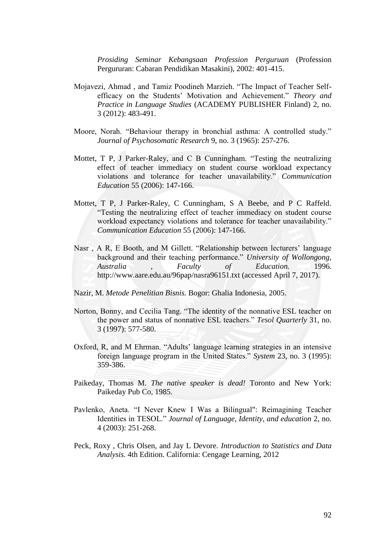*Prosiding Seminar Kebangsaan Profession Perguruan* (Profession Pergururan: Cabaran Pendidikan Masakini), 2002: 401-415.

- Mojavezi, Ahmad, and Tamiz Poodineh Marzieh. "The Impact of Teacher Selfefficacy on the Students' Motivation and Achievement." Theory and *Practice in Language Studies* (ACADEMY PUBLISHER Finland) 2, no. 3 (2012): 483-491.
- Moore, Norah. "Behaviour therapy in bronchial asthma: A controlled study." *Journal of Psychosomatic Research* 9, no. 3 (1965): 257-276.
- Mottet,  $T$  P, J Parker-Raley, and  $C$  B Cunningham. "Testing the neutralizing effect of teacher immediacy on student course workload expectancy violations and tolerance for teacher unavailability.‖ *Communication Education* 55 (2006): 147-166.
- Mottet, T P, J Parker-Raley, C Cunningham, S A Beebe, and P C Raffeld. ―Testing the neutralizing effect of teacher immediacy on student course workload expectancy violations and tolerance for teacher unavailability." *Communication Education* 55 (2006): 147-166.
- Nasr, A R, E Booth, and M Gillett. "Relationship between lecturers' language background and their teaching performance." *University of Wollongong, Australia , Faculty of Education.* 1996. http://www.aare.edu.au/96pap/nasra96151.txt (accessed April 7, 2017).
- Nazir, M. *Metode Penelitian Bisnis.* Bogor: Ghalia Indonesia, 2005.
- Norton, Bonny, and Cecilia Tang. "The identity of the nonnative ESL teacher on the power and status of nonnative ESL teachers." *Tesol Quarterly* 31, no. 3 (1997): 577-580.
- Oxford, R, and M Ehrman. "Adults' language learning strategies in an intensive foreign language program in the United States.‖ *System* 23, no. 3 (1995): 359-386.
- Paikeday, Thomas M. *The native speaker is dead!* Toronto and New York: Paikeday Pub Co, 1985.
- Pavlenko, Aneta. "I Never Knew I Was a Bilingual": Reimagining Teacher Identities in TESOL." *Journal of Language, Identity, and education* 2, no. 4 (2003): 251-268.
- Peck, Roxy , Chris Olsen, and Jay L Devore. *Introduction to Statistics and Data Analysis.* 4th Edition. California: Cengage Learning, 2012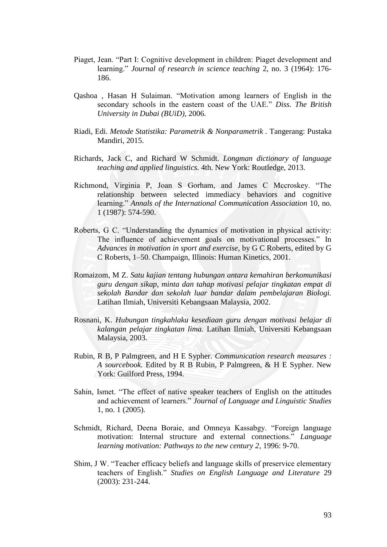- Piaget, Jean. "Part I: Cognitive development in children: Piaget development and learning." *Journal of research in science teaching* 2, no. 3 (1964): 176-186.
- Qashoa, Hasan H Sulaiman. "Motivation among learners of English in the secondary schools in the eastern coast of the UAE." *Diss. The British University in Dubai (BUiD)*, 2006.
- Riadi, Edi. *Metode Statistika: Parametrik & Nonparametrik .* Tangerang: Pustaka Mandiri, 2015.
- Richards, Jack C, and Richard W Schmidt. *Longman dictionary of language teaching and applied linguistics.* 4th. New York: Routledge, 2013.
- Richmond, Virginia P, Joan S Gorham, and James C Mccroskey. "The relationship between selected immediacy behaviors and cognitive learning." Annals of the International Communication Association 10, no. 1 (1987): 574-590.
- Roberts, G C. "Understanding the dynamics of motivation in physical activity: The influence of achievement goals on motivational processes." In *Advances in motivation in sport and exercise*, by G C Roberts, edited by G C Roberts, 1–50. Champaign, Illinois: Human Kinetics, 2001.
- Romaizom, M Z. *Satu kajian tentang hubungan antara kemahiran berkomunikasi guru dengan sikap, minta dan tahap motivasi pelajar tingkatan empat di sekolah Bandar dan sekolah luar bandar dalam pembelajaran Biologi.* Latihan Ilmiah, Universiti Kebangsaan Malaysia, 2002.
- Rosnani, K. *Hubungan tingkahlaku kesediaan guru dengan motivasi belajar di kalangan pelajar tingkatan lima.* Latihan Ilmiah, Universiti Kebangsaan Malaysia, 2003.
- Rubin, R B, P Palmgreen, and H E Sypher. *Communication research measures : A sourcebook.* Edited by R B Rubin, P Palmgreen, & H E Sypher. New York: Guilford Press, 1994.
- Sahin, Ismet. "The effect of native speaker teachers of English on the attitudes and achievement of learners.‖ *Journal of Language and Linguistic Studies* 1, no. 1 (2005).
- Schmidt, Richard, Deena Boraie, and Omneya Kassabgy. "Foreign language motivation: Internal structure and external connections." *Language learning motivation: Pathways to the new century 2*, 1996: 9-70.
- Shim, J W. "Teacher efficacy beliefs and language skills of preservice elementary teachers of English.‖ *Studies on English Language and Literature* 29 (2003): 231-244.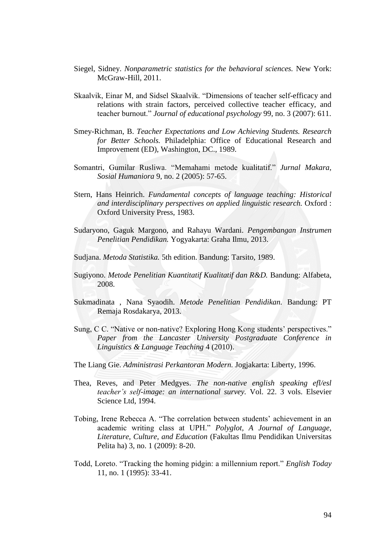- Siegel, Sidney. *Nonparametric statistics for the behavioral sciences.* New York: McGraw-Hill, 2011.
- Skaalvik, Einar M, and Sidsel Skaalvik. "Dimensions of teacher self-efficacy and relations with strain factors, perceived collective teacher efficacy, and teacher burnout.‖ *Journal of educational psychology* 99, no. 3 (2007): 611.
- Smey-Richman, B. *Teacher Expectations and Low Achieving Students. Research for Better Schools.* Philadelphia: Office of Educational Research and Improvement (ED), Washington, DC., 1989.
- Somantri, Gumilar Rusliwa. "Memahami metode kualitatif." Jurnal Makara, *Sosial Humaniora* 9, no. 2 (2005): 57-65.
- Stern, Hans Heinrich. *Fundamental concepts of language teaching: Historical and interdisciplinary perspectives on applied linguistic research.* Oxford : Oxford University Press, 1983.
- Sudaryono, Gaguk Margono, and Rahayu Wardani. *Pengembangan Instrumen Penelitian Pendidikan.* Yogyakarta: Graha Ilmu, 2013.
- Sudjana. *Metoda Statistika.* 5th edition. Bandung: Tarsito, 1989.
- Sugiyono. *Metode Penelitian Kuantitatif Kualitatif dan R&D.* Bandung: Alfabeta, 2008.
- Sukmadinata , Nana Syaodih. *Metode Penelitian Pendidikan.* Bandung: PT Remaja Rosdakarya, 2013.
- Sung, C C. "Native or non-native? Exploring Hong Kong students' perspectives." *Paper from the Lancaster University Postgraduate Conference in Linguistics & Language Teaching* 4 (2010).
- The Liang Gie. *Administrasi Perkantoran Modern.* Jogjakarta: Liberty, 1996.
- Thea, Reves, and Peter Medgyes. *The non-native english speaking efl/esl teacher's self-image: an international survey.* Vol. 22. 3 vols. Elsevier Science Ltd, 1994.
- Tobing, Irene Rebecca A. "The correlation between students' achievement in an academic writing class at UPH." *Polyglot, A Journal of Language, Literature, Culture, and Education* (Fakultas Ilmu Pendidikan Universitas Pelita ha) 3, no. 1 (2009): 8-20.
- Todd, Loreto. "Tracking the homing pidgin: a millennium report." *English Today* 11, no. 1 (1995): 33-41.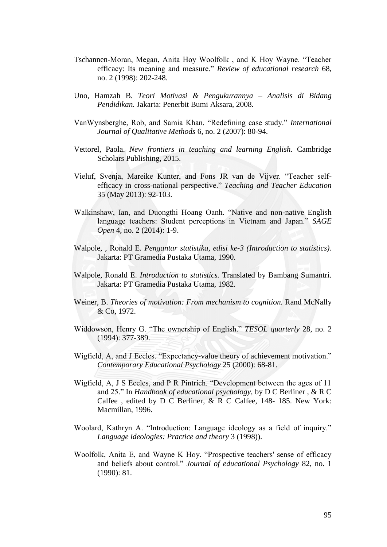- Tschannen-Moran, Megan, Anita Hoy Woolfolk, and K Hoy Wayne. "Teacher efficacy: Its meaning and measure." *Review of educational research* 68, no. 2 (1998): 202-248.
- Uno, Hamzah B. *Teori Motivasi & Pengukurannya – Analisis di Bidang Pendidikan.* Jakarta: Penerbit Bumi Aksara, 2008.
- VanWynsberghe, Rob, and Samia Khan. "Redefining case study." *International Journal of Qualitative Methods* 6, no. 2 (2007): 80-94.
- Vettorel, Paola. *New frontiers in teaching and learning English.* Cambridge Scholars Publishing, 2015.
- Vieluf, Svenja, Mareike Kunter, and Fons JR van de Vijver. "Teacher selfefficacy in cross-national perspective.‖ *Teaching and Teacher Education* 35 (May 2013): 92-103.
- Walkinshaw, Ian, and Duongthi Hoang Oanh. "Native and non-native English language teachers: Student perceptions in Vietnam and Japan." *SAGE Open* 4, no. 2 (2014): 1-9.
- Walpole, , Ronald E. *Pengantar statistika, edisi ke-3 (Introduction to statistics).* Jakarta: PT Gramedia Pustaka Utama, 1990.
- Walpole, Ronald E. *Introduction to statistics.* Translated by Bambang Sumantri. Jakarta: PT Gramedia Pustaka Utama, 1982.
- Weiner, B. *Theories of motivation: From mechanism to cognition.* Rand McNally & Co, 1972.
- Widdowson, Henry G. "The ownership of English." *TESOL quarterly* 28, no. 2 (1994): 377-389.
- Wigfield, A, and J Eccles. "Expectancy-value theory of achievement motivation." *Contemporary Educational Psychology* 25 (2000): 68-81.
- Wigfield, A, J S Eccles, and P R Pintrich. "Development between the ages of 11 and 25." In *Handbook of educational psychology*, by D C Berliner, & R C Calfee , edited by D C Berliner, & R C Calfee, 148- 185. New York: Macmillan, 1996.
- Woolard, Kathryn A. "Introduction: Language ideology as a field of inquiry." *Language ideologies: Practice and theory* 3 (1998)).
- Woolfolk, Anita E, and Wayne K Hoy. "Prospective teachers' sense of efficacy and beliefs about control." *Journal of educational Psychology* 82, no. 1 (1990): 81.